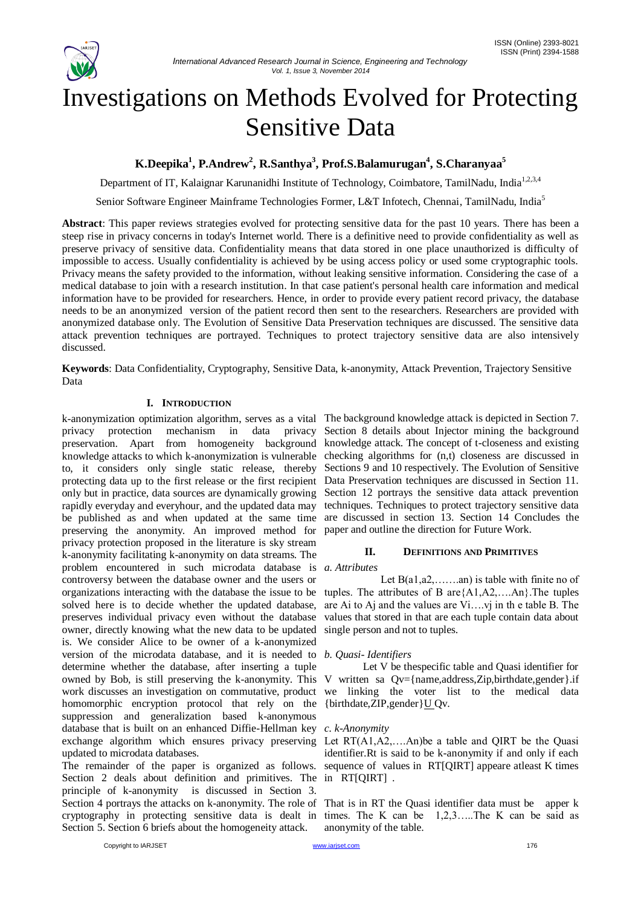

# Investigations on Methods Evolved for Protecting Sensitive Data

**K.Deepika<sup>1</sup> , P.Andrew<sup>2</sup> , R.Santhya<sup>3</sup> , Prof.S.Balamurugan<sup>4</sup> , S.Charanyaa<sup>5</sup>**

Department of IT, Kalaignar Karunanidhi Institute of Technology, Coimbatore, TamilNadu, India<sup>1,2,3,4</sup>

Senior Software Engineer Mainframe Technologies Former, L&T Infotech, Chennai, TamilNadu, India<sup>5</sup>

**Abstract**: This paper reviews strategies evolved for protecting sensitive data for the past 10 years. There has been a steep rise in privacy concerns in today's Internet world. There is a definitive need to provide confidentiality as well as preserve privacy of sensitive data. Confidentiality means that data stored in one place unauthorized is difficulty of impossible to access. Usually confidentiality is achieved by be using access policy or used some cryptographic tools. Privacy means the safety provided to the information, without leaking sensitive information. Considering the case of a medical database to join with a research institution. In that case patient's personal health care information and medical information have to be provided for researchers. Hence, in order to provide every patient record privacy, the database needs to be an anonymized version of the patient record then sent to the researchers. Researchers are provided with anonymized database only. The Evolution of Sensitive Data Preservation techniques are discussed. The sensitive data attack prevention techniques are portrayed. Techniques to protect trajectory sensitive data are also intensively discussed.

**Keywords**: Data Confidentiality, Cryptography, Sensitive Data, k-anonymity, Attack Prevention, Trajectory Sensitive Data

# **I. INTRODUCTION**

k-anonymization optimization algorithm, serves as a vital The background knowledge attack is depicted in Section 7. privacy protection mechanism in data privacy Section 8 details about Injector mining the background preservation. Apart from homogeneity background knowledge attack. The concept of t-closeness and existing knowledge attacks to which k-anonymization is vulnerable checking algorithms for (n,t) closeness are discussed in to, it considers only single static release, thereby Sections 9 and 10 respectively. The Evolution of Sensitive protecting data up to the first release or the first recipient Data Preservation techniques are discussed in Section 11. only but in practice, data sources are dynamically growing Section 12 portrays the sensitive data attack prevention rapidly everyday and everyhour, and the updated data may be published as and when updated at the same time are discussed in section 13. Section 14 Concludes the preserving the anonymity. An improved method for privacy protection proposed in the literature is sky stream k-anonymity facilitating k-anonymity on data streams. The problem encountered in such microdata database is *a. Attributes* controversy between the database owner and the users or organizations interacting with the database the issue to be solved here is to decide whether the updated database, preserves individual privacy even without the database owner, directly knowing what the new data to be updated is. We consider Alice to be owner of a k-anonymized version of the microdata database, and it is needed to *b. Quasi- Identifiers* determine whether the database, after inserting a tuple owned by Bob, is still preserving the k-anonymity. This V written sa Qv={name,address,Zip,birthdate,gender}.if work discusses an investigation on commutative, product we linking the voter list to the medical data homomorphic encryption protocol that rely on the {birthdate, ZIP, gender }  $\underline{U}$  Qv. suppression and generalization based k-anonymous database that is built on an enhanced Diffie-Hellman key *c. k-Anonymity* exchange algorithm which ensures privacy preserving Let RT(A1,A2,...An)be a table and QIRT be the Quasi updated to microdata databases.

The remainder of the paper is organized as follows. Section 2 deals about definition and primitives. The in RT[QIRT] . principle of k-anonymity is discussed in Section 3. Section 4 portrays the attacks on k-anonymity. The role of That is in RT the Quasi identifier data must be apper k cryptography in protecting sensitive data is dealt in times. The K can be 1,2,3…..The K can be said as Section 5. Section 6 briefs about the homogeneity attack.

techniques. Techniques to protect trajectory sensitive data paper and outline the direction for Future Work.

# **II. DEFINITIONS AND PRIMITIVES**

Let  $B(a1, a2, \ldots, an)$  is table with finite no of tuples. The attributes of B are $\{A1, A2, \ldots, An\}$ . The tuples are Ai to Aj and the values are Vi….vj in th e table B. The values that stored in that are each tuple contain data about single person and not to tuples.

Let V be thespecific table and Quasi identifier for

identifier.Rt is said to be k-anonymity if and only if each sequence of values in RT[QIRT] appeare atleast K times

anonymity of the table.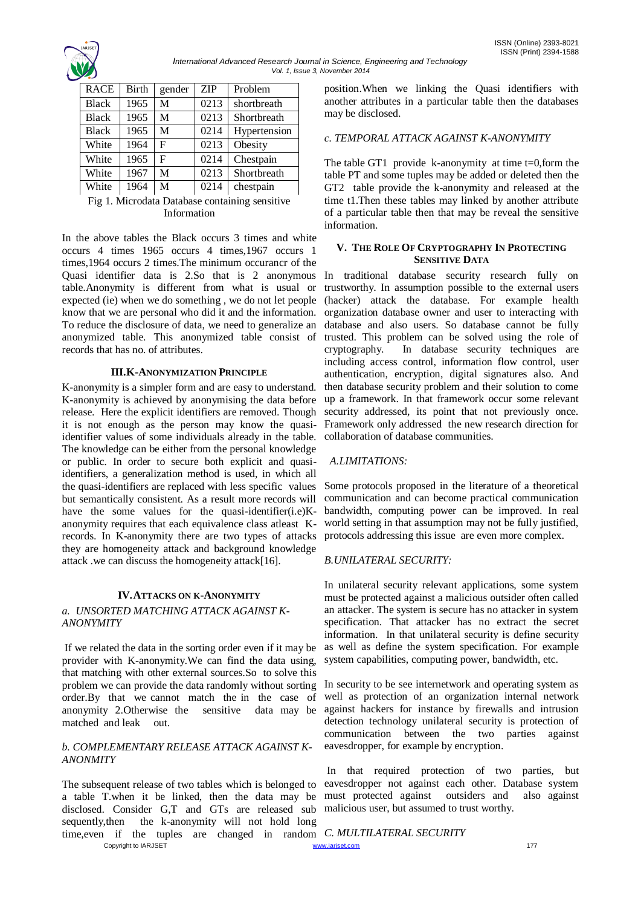

*International Advanced Research Journal in Science, Engineering and Technology Vol. 1, Issue 3, November 2014*

| <b>RACE</b>  | <b>Birth</b> | gender | <b>ZIP</b> | Problem      |
|--------------|--------------|--------|------------|--------------|
| <b>Black</b> | 1965         | М      | 0213       | shortbreath  |
| <b>Black</b> | 1965         | M      | 0213       | Shortbreath  |
| <b>Black</b> | 1965         | М      | 0214       | Hypertension |
| White        | 1964         | F      | 0213       | Obesity      |
| White        | 1965         | F      | 0214       | Chestpain    |
| White        | 1967         | М      | 0213       | Shortbreath  |
| White        | 1964         | М      | 0214       | chestpain    |

Fig 1. Microdata Database containing sensitive Information

In the above tables the Black occurs 3 times and white occurs 4 times 1965 occurs 4 times,1967 occurs 1 times,1964 occurs 2 times.The minimum occurancr of the Quasi identifier data is 2.So that is 2 anonymous table.Anonymity is different from what is usual or expected (ie) when we do something , we do not let people know that we are personal who did it and the information. To reduce the disclosure of data, we need to generalize an anonymized table. This anonymized table consist of records that has no. of attributes.

### **III.K-ANONYMIZATION PRINCIPLE**

K-anonymity is a simpler form and are easy to understand. K-anonymity is achieved by anonymising the data before release. Here the explicit identifiers are removed. Though it is not enough as the person may know the quasiidentifier values of some individuals already in the table. The knowledge can be either from the personal knowledge or public. In order to secure both explicit and quasiidentifiers, a generalization method is used, in which all the quasi-identifiers are replaced with less specific values but semantically consistent. As a result more records will have the some values for the quasi-identifier(i.e)Kanonymity requires that each equivalence class atleast Krecords. In K-anonymity there are two types of attacks they are homogeneity attack and background knowledge attack .we can discuss the homogeneity attack[16].

# **IV.ATTACKS ON K-ANONYMITY**

#### *a. UNSORTED MATCHING ATTACK AGAINST K-ANONYMITY*

If we related the data in the sorting order even if it may be provider with K-anonymity.We can find the data using, that matching with other external sources.So to solve this problem we can provide the data randomly without sorting order.By that we cannot match the in the case of anonymity 2.Otherwise the sensitive data may be matched and leak out.

### *b. COMPLEMENTARY RELEASE ATTACK AGAINST K-ANONMITY*

Copyright to IARJSET **177** and the community of the control of the control of the control of the control of the control of the control of the control of the control of the control of the control of the control of the contr The subsequent release of two tables which is belonged to a table T.when it be linked, then the data may be disclosed. Consider G,T and GTs are released sub sequently,then the k-anonymity will not hold long time,even if the tuples are changed in random *C. MULTILATERAL SECURITY*

position.When we linking the Quasi identifiers with another attributes in a particular table then the databases may be disclosed.

## *c. TEMPORAL ATTACK AGAINST K-ANONYMITY*

The table GT1 provide k-anonymity at time  $t=0$ , form the table PT and some tuples may be added or deleted then the GT2 table provide the k-anonymity and released at the time t1.Then these tables may linked by another attribute of a particular table then that may be reveal the sensitive information.

#### **V. THE ROLE OF CRYPTOGRAPHY IN PROTECTING SENSITIVE DATA**

In traditional database security research fully on trustworthy. In assumption possible to the external users (hacker) attack the database. For example health organization database owner and user to interacting with database and also users. So database cannot be fully trusted. This problem can be solved using the role of cryptography. In database security techniques are including access control, information flow control, user authentication, encryption, digital signatures also. And then database security problem and their solution to come up a framework. In that framework occur some relevant security addressed, its point that not previously once. Framework only addressed the new research direction for collaboration of database communities.

### *A.LIMITATIONS:*

Some protocols proposed in the literature of a theoretical communication and can become practical communication bandwidth, computing power can be improved. In real world setting in that assumption may not be fully justified, protocols addressing this issue are even more complex.

# *B.UNILATERAL SECURITY:*

In unilateral security relevant applications, some system must be protected against a malicious outsider often called an attacker. The system is secure has no attacker in system specification. That attacker has no extract the secret information. In that unilateral security is define security as well as define the system specification. For example system capabilities, computing power, bandwidth, etc.

In security to be see internetwork and operating system as well as protection of an organization internal network against hackers for instance by firewalls and intrusion detection technology unilateral security is protection of communication between the two parties against eavesdropper, for example by encryption.

In that required protection of two parties, but eavesdropper not against each other. Database system must protected against outsiders and also against malicious user, but assumed to trust worthy.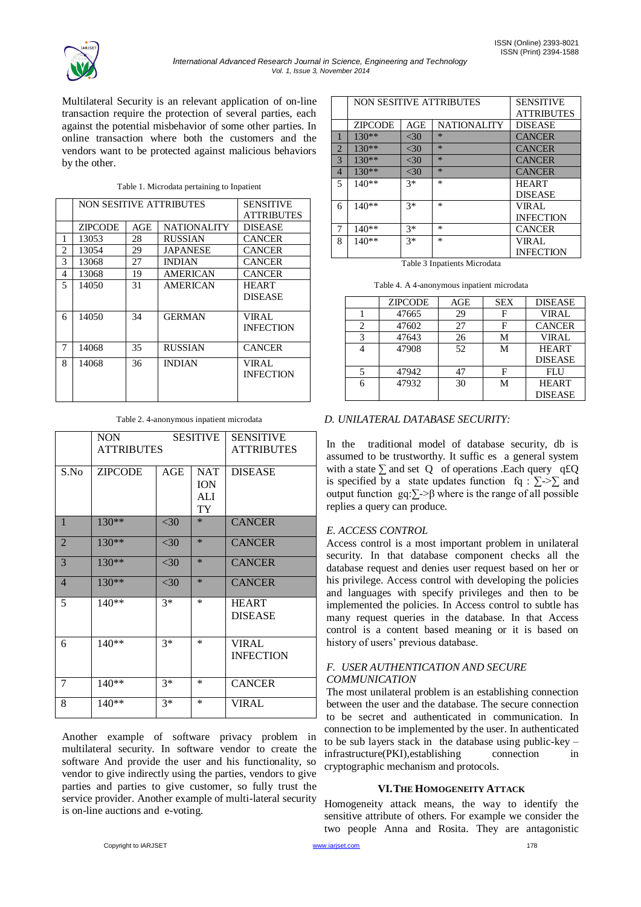

Multilateral Security is an relevant application of on-line transaction require the protection of several parties, each against the potential misbehavior of some other parties. In online transaction where both the customers and the vendors want to be protected against malicious behaviors by the other.

|   | <b>NON SESITIVE ATTRIBUTES</b> |     |                    | SENSITIVE         |
|---|--------------------------------|-----|--------------------|-------------------|
|   |                                |     |                    | <b>ATTRIBUTES</b> |
|   | ZIPCODE                        | AGE | <b>NATIONALITY</b> | <b>DISEASE</b>    |
| 1 | 13053                          | 28  | RUSSIAN            | <b>CANCER</b>     |
| 2 | 13054                          | 29  | JAPANESE           | <b>CANCER</b>     |
| 3 | 13068                          | 27  | <b>INDIAN</b>      | <b>CANCER</b>     |
| 4 | 13068                          | 19  | AMERICAN           | <b>CANCER</b>     |
| 5 | 14050                          | 31  | AMERICAN           | <b>HEART</b>      |
|   |                                |     |                    | <b>DISEASE</b>    |
| 6 | 14050                          | 34  | <b>GERMAN</b>      | VIRAL             |
|   |                                |     |                    | <b>INFECTION</b>  |
|   |                                |     |                    |                   |
| 7 | 14068                          | 35  | RUSSIAN            | <b>CANCER</b>     |
| 8 | 14068                          | 36  | <b>INDIAN</b>      | VIRAL.            |
|   |                                |     |                    | <b>INFECTION</b>  |
|   |                                |     |                    |                   |
|   |                                |     |                    |                   |

Table 2. 4-anonymous inpatient microdata

|                | <b>NON</b><br><b>SESITIVE</b><br><b>ATTRIBUTES</b> |        | <b>SENSITIVE</b><br><b>ATTRIBUTES</b> |                                  |
|----------------|----------------------------------------------------|--------|---------------------------------------|----------------------------------|
| S.No           | <b>ZIPCODE</b>                                     | AGE    | <b>NAT</b><br><b>ION</b><br>ALI<br>TY | <b>DISEASE</b>                   |
| $\mathbf{1}$   | $130**$                                            | <30    | $\ast$                                | <b>CANCER</b>                    |
| $\overline{2}$ | 130**                                              | $<$ 30 | $\ast$                                | <b>CANCER</b>                    |
| 3              | $130**$                                            | $<$ 30 | $\ast$                                | <b>CANCER</b>                    |
| $\overline{4}$ | 130**                                              | $<$ 30 | $\ast$                                | <b>CANCER</b>                    |
| 5              | $140**$                                            | $3*$   | $\ast$                                | <b>HEART</b><br><b>DISEASE</b>   |
| 6              | $140**$                                            | $3*$   | $\ast$                                | <b>VIRAL</b><br><b>INFECTION</b> |
| 7              | $140**$                                            | $3*$   | *                                     | <b>CANCER</b>                    |
| 8              | $140**$                                            | $3*$   | $\ast$                                | <b>VIRAL</b>                     |

Another example of software privacy problem in multilateral security. In software vendor to create the software And provide the user and his functionality, so vendor to give indirectly using the parties, vendors to give parties and parties to give customer, so fully trust the service provider. Another example of multi-lateral security is on-line auctions and e-voting.

|                | <b>NON SESITIVE ATTRIBUTES</b> |                   |                    | <b>SENSITIVE</b> |
|----------------|--------------------------------|-------------------|--------------------|------------------|
|                |                                | <b>ATTRIBUTES</b> |                    |                  |
|                | <b>ZIPCODE</b>                 | AGE               | <b>NATIONALITY</b> | <b>DISEASE</b>   |
|                | $130**$                        | $<$ 30            | $*$                | <b>CANCER</b>    |
| $\overline{2}$ | $130**$                        | $<$ 30            | $*$                | <b>CANCER</b>    |
| 3              | $130**$                        | $<$ 30            | $*$                | <b>CANCER</b>    |
| $\overline{4}$ | 130**                          | $<$ 30            | $*$                | <b>CANCER</b>    |
| 5              | $140**$                        | $3*$              | $\ast$             | <b>HEART</b>     |
|                |                                |                   |                    | <b>DISEASE</b>   |
| 6              | $140**$                        | $3*$              | $\ast$             | <b>VIRAL</b>     |
|                |                                |                   |                    | <b>INFECTION</b> |
| 7              | 140**                          | $3*$              | $\ast$             | <b>CANCER</b>    |
| 8              | 140**                          | $3*$              | $\ast$             | <b>VIRAL</b>     |
|                |                                |                   |                    | <b>INFECTION</b> |

Table 3 Inpatients Microdata

| Table 4. A 4-anonymous inpatient microdata |  |  |
|--------------------------------------------|--|--|
|                                            |  |  |

| <b>ZIPCODE</b> | AGE | <b>SEX</b> | <b>DISEASE</b> |
|----------------|-----|------------|----------------|
| 47665          | 29  |            | <b>VIRAL</b>   |
| 47602          | 27  |            | <b>CANCER</b>  |
| 47643          | 26  | М          | <b>VIRAL</b>   |
| 47908          | 52. | М          | <b>HEART</b>   |
|                |     |            | <b>DISEASE</b> |
| 47942          | 47  | F          | <b>FLU</b>     |
| 47932          | 30  | М          | <b>HEART</b>   |
|                |     |            | <b>DISEASE</b> |

# *D. UNILATERAL DATABASE SECURITY:*

In the traditional model of database security, db is assumed to be trustworthy. It suffic es a general system with a state  $\sum$  and set Q of operations .Each query q£Q is specified by a state updates function fq :  $\Sigma \geq \Sigma$  and output function gq: $\Sigma$ ->β where is the range of all possible replies a query can produce.

### *E. ACCESS CONTROL*

Access control is a most important problem in unilateral security. In that database component checks all the database request and denies user request based on her or his privilege. Access control with developing the policies and languages with specify privileges and then to be implemented the policies. In Access control to subtle has many request queries in the database. In that Access control is a content based meaning or it is based on history of users' previous database.

### *F. USER AUTHENTICATION AND SECURE COMMUNICATION*

The most unilateral problem is an establishing connection between the user and the database. The secure connection to be secret and authenticated in communication. In connection to be implemented by the user. In authenticated to be sub layers stack in the database using public-key – infrastructure(PKI), establishing connection in cryptographic mechanism and protocols.

### **VI.THE HOMOGENEITY ATTACK**

Homogeneity attack means, the way to identify the sensitive attribute of others. For example we consider the two people Anna and Rosita. They are antagonistic

Copyright to IARJSET **178 Construction** and the construction of the construction of the construction of the construction of the construction of the construction of the construction of the construction of the construction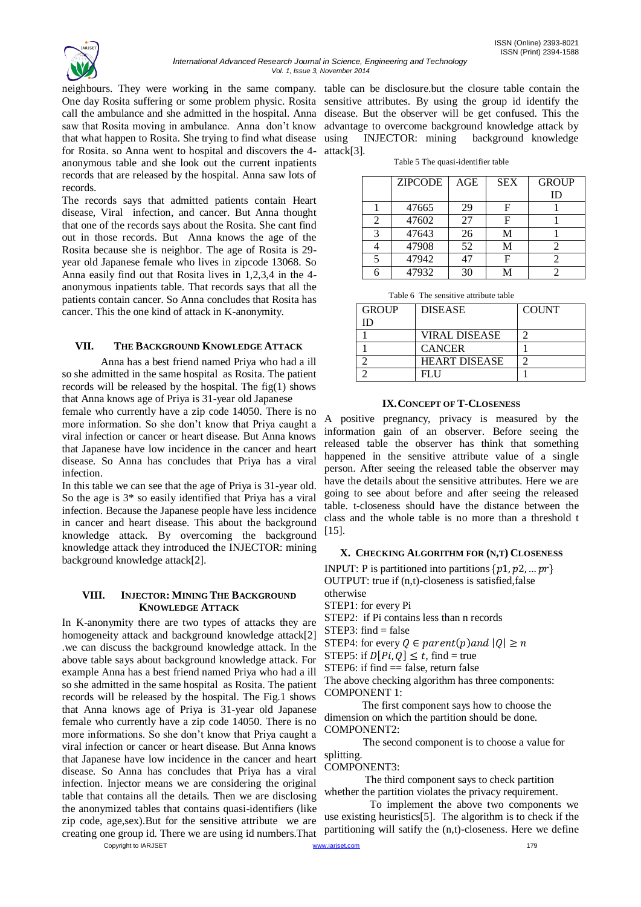

neighbours. They were working in the same company. table can be disclosure.but the closure table contain the One day Rosita suffering or some problem physic. Rosita sensitive attributes. By using the group id identify the call the ambulance and she admitted in the hospital. Anna disease. But the observer will be get confused. This the saw that Rosita moving in ambulance. Anna don't know that what happen to Rosita. She trying to find what disease for Rosita. so Anna went to hospital and discovers the 4 anonymous table and she look out the current inpatients records that are released by the hospital. Anna saw lots of records.

The records says that admitted patients contain Heart disease, Viral infection, and cancer. But Anna thought that one of the records says about the Rosita. She cant find out in those records. But Anna knows the age of the Rosita because she is neighbor. The age of Rosita is 29 year old Japanese female who lives in zipcode 13068. So Anna easily find out that Rosita lives in 1,2,3,4 in the 4 anonymous inpatients table. That records says that all the patients contain cancer. So Anna concludes that Rosita has cancer. This the one kind of attack in K-anonymity.

### **VII. THE BACKGROUND KNOWLEDGE ATTACK**

Anna has a best friend named Priya who had a ill so she admitted in the same hospital as Rosita. The patient records will be released by the hospital. The fig(1) shows that Anna knows age of Priya is 31-year old Japanese

female who currently have a zip code 14050. There is no more information. So she don"t know that Priya caught a viral infection or cancer or heart disease. But Anna knows that Japanese have low incidence in the cancer and heart disease. So Anna has concludes that Priya has a viral infection.

In this table we can see that the age of Priya is 31-year old. So the age is 3\* so easily identified that Priya has a viral infection. Because the Japanese people have less incidence in cancer and heart disease. This about the background knowledge attack. By overcoming the background knowledge attack they introduced the INJECTOR: mining background knowledge attack[2].

#### **VIII. INJECTOR: MINING THE BACKGROUND KNOWLEDGE ATTACK**

Copyright to IARJSET **179 Construction** and the *compound of the accompound of the compound of the compound of the compound of the compound of the compound of the compound of the compound of the compound of the compound* In K-anonymity there are two types of attacks they are homogeneity attack and background knowledge attack[2] .we can discuss the background knowledge attack. In the above table says about background knowledge attack. For example Anna has a best friend named Priya who had a ill so she admitted in the same hospital as Rosita. The patient records will be released by the hospital. The Fig.1 shows that Anna knows age of Priya is 31-year old Japanese female who currently have a zip code 14050. There is no more informations. So she don"t know that Priya caught a viral infection or cancer or heart disease. But Anna knows that Japanese have low incidence in the cancer and heart disease. So Anna has concludes that Priya has a viral infection. Injector means we are considering the original table that contains all the details. Then we are disclosing the anonymized tables that contains quasi-identifiers (like zip code, age,sex).But for the sensitive attribute we are creating one group id. There we are using id numbers.That

advantage to overcome background knowledge attack by using INJECTOR: mining background knowledge attack[3].

Table 5 The quasi-identifier table

|                | <b>ZIPCODE</b> | AGE | <b>SEX</b> | <b>GROUP</b> |
|----------------|----------------|-----|------------|--------------|
|                |                |     |            | ID           |
|                | 47665          | 29  | F          |              |
| $\mathfrak{D}$ | 47602          | 27  | F          |              |
| $\mathcal{R}$  | 47643          | 26  | М          |              |
|                | 47908          | 52  | М          |              |
|                | 47942          | 47  | F          |              |
|                | 47932          | 30  | M          |              |

Table 6 The sensitive attribute table

| <b>GROUP</b> | <b>DISEASE</b>       | <b>COUNT</b> |
|--------------|----------------------|--------------|
| נ וו         |                      |              |
|              | <b>VIRAL DISEASE</b> |              |
|              | <b>CANCER</b>        |              |
|              | <b>HEART DISEASE</b> |              |
|              | FI 11                |              |

#### **IX.CONCEPT OF T-CLOSENESS**

A positive pregnancy, privacy is measured by the information gain of an observer. Before seeing the released table the observer has think that something happened in the sensitive attribute value of a single person. After seeing the released table the observer may have the details about the sensitive attributes. Here we are going to see about before and after seeing the released table. t-closeness should have the distance between the class and the whole table is no more than a threshold t [15].

### **X. CHECKING ALGORITHM FOR (N,T) CLOSENESS**

INPUT: P is partitioned into partitions  $\{p1, p2, ...pr\}$ OUTPUT: true if (n,t)-closeness is satisfied,false

otherwise STEP1: for every Pi

STEP2: if Pi contains less than n records

 $STEP3: find = false$ 

STEP4: for every  $Q \in parent(p)$  and  $|Q| \geq n$ 

STEP5: if  $D[P_i, Q] \leq t$ , find = true

STEP6: if find  $=$  false, return false

The above checking algorithm has three components: COMPONENT 1:

 The first component says how to choose the dimension on which the partition should be done. COMPONENT2:

 The second component is to choose a value for splitting.

COMPONENT3:

 The third component says to check partition whether the partition violates the privacy requirement.

 To implement the above two components we use existing heuristics[5]. The algorithm is to check if the partitioning will satify the (n,t)-closeness. Here we define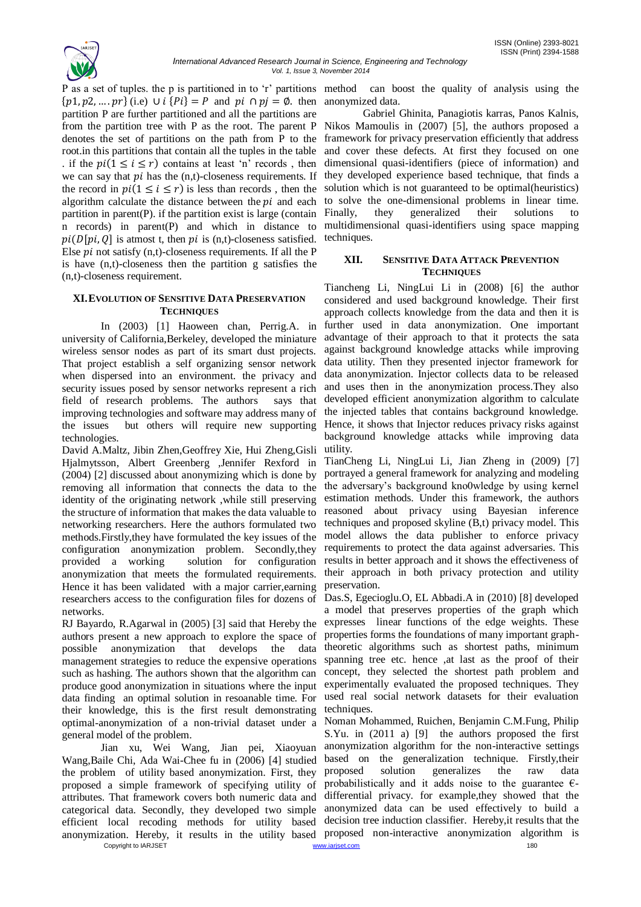ISSN (Online) 2393-8021 ISSN (Print) 2394-1588

P as a set of tuples. the p is partitioned in to 'r' partitions method can boost the quality of analysis using the  $\{p1, p2, \dots, pr\}$  (i.e)  $\cup i$   $\{Pi\} = P$  and  $pi \cap pj = \emptyset$ . then anonymized data. partition P are further partitioned and all the partitions are from the partition tree with P as the root. The parent P denotes the set of partitions on the path from P to the root.in this partitions that contain all the tuples in the table . if the  $pi(1 \le i \le r)$  contains at least 'n' records, then we can say that  $pi$  has the  $(n,t)$ -closeness requirements. If the record in  $pi(1 \le i \le r)$  is less than records, then the algorithm calculate the distance between the  $pi$  and each partition in parent $(P)$ . if the partition exist is large (contain n records) in parent(P) and which in distance to  $pi(D[\text{pi}, 0]$  is atmost t, then  $pi$  is (n,t)-closeness satisfied. Else  $pi$  not satisfy (n,t)-closeness requirements. If all the P is have (n,t)-closeness then the partition g satisfies the (n,t)-closeness requirement.

#### **XI.EVOLUTION OF SENSITIVE DATA PRESERVATION TECHNIQUES**

In (2003) [1] Haoween chan, Perrig.A. in university of California,Berkeley, developed the miniature wireless sensor nodes as part of its smart dust projects. That project establish a self organizing sensor network when dispersed into an environment. the privacy and security issues posed by sensor networks represent a rich field of research problems. The authors says that improving technologies and software may address many of the issues but others will require new supporting technologies.

David A.Maltz, Jibin Zhen,Geoffrey Xie, Hui Zheng,Gisli Hjalmytsson, Albert Greenberg ,Jennifer Rexford in (2004) [2] discussed about anonymizing which is done by removing all information that connects the data to the identity of the originating network ,while still preserving the structure of information that makes the data valuable to networking researchers. Here the authors formulated two methods.Firstly,they have formulated the key issues of the configuration anonymization problem. Secondly,they provided a working solution for configuration anonymization that meets the formulated requirements. Hence it has been validated with a major carrier, earning researchers access to the configuration files for dozens of networks.

RJ Bayardo, R.Agarwal in (2005) [3] said that Hereby the authors present a new approach to explore the space of possible anonymization that develops the data management strategies to reduce the expensive operations such as hashing. The authors shown that the algorithm can produce good anonymization in situations where the input data finding an optimal solution in resoanable time. For their knowledge, this is the first result demonstrating optimal-anonymization of a non-trivial dataset under a general model of the problem.

Copyright to IARJSET 180 Jian xu, Wei Wang, Jian pei, Xiaoyuan Wang,Baile Chi, Ada Wai-Chee fu in (2006) [4] studied the problem of utility based anonymization. First, they proposed a simple framework of specifying utility of attributes. That framework covers both numeric data and differential privacy. for example,they showed that the categorical data. Secondly, they developed two simple anonymized data can be used effectively to build a efficient local recoding methods for utility based decision tree induction classifier. Hereby,it results that the anonymization. Hereby, it results in the utility based proposed non-interactive anonymization algorithm is

Gabriel Ghinita, Panagiotis karras, Panos Kalnis, Nikos Mamoulis in (2007) [5], the authors proposed a framework for privacy preservation efficiently that address and cover these defects. At first they focused on one dimensional quasi-identifiers (piece of information) and they developed experience based technique, that finds a solution which is not guaranteed to be optimal(heuristics) to solve the one-dimensional problems in linear time. Finally, they generalized their solutions to multidimensional quasi-identifiers using space mapping techniques.

### **XII. SENSITIVE DATA ATTACK PREVENTION TECHNIQUES**

Tiancheng Li, NingLui Li in (2008) [6] the author considered and used background knowledge. Their first approach collects knowledge from the data and then it is further used in data anonymization. One important advantage of their approach to that it protects the sata against background knowledge attacks while improving data utility. Then they presented injector framework for data anonymization. Injector collects data to be released and uses then in the anonymization process.They also developed efficient anonymization algorithm to calculate the injected tables that contains background knowledge. Hence, it shows that Injector reduces privacy risks against background knowledge attacks while improving data utility.

TianCheng Li, NingLui Li, Jian Zheng in (2009) [7] portrayed a general framework for analyzing and modeling the adversary"s background kno0wledge by using kernel estimation methods. Under this framework, the authors reasoned about privacy using Bayesian inference techniques and proposed skyline (B,t) privacy model. This model allows the data publisher to enforce privacy requirements to protect the data against adversaries. This results in better approach and it shows the effectiveness of their approach in both privacy protection and utility preservation.

Das.S, Egecioglu.O, EL Abbadi.A in (2010) [8] developed a model that preserves properties of the graph which expresses linear functions of the edge weights. These properties forms the foundations of many important graphtheoretic algorithms such as shortest paths, minimum spanning tree etc. hence ,at last as the proof of their concept, they selected the shortest path problem and experimentally evaluated the proposed techniques. They used real social network datasets for their evaluation techniques.

Noman Mohammed, Ruichen, Benjamin C.M.Fung, Philip S.Yu. in (2011 a) [9] the authors proposed the first anonymization algorithm for the non-interactive settings based on the generalization technique. Firstly,their proposed solution generalizes the raw data probabilistically and it adds noise to the guarantee  $\epsilon$ -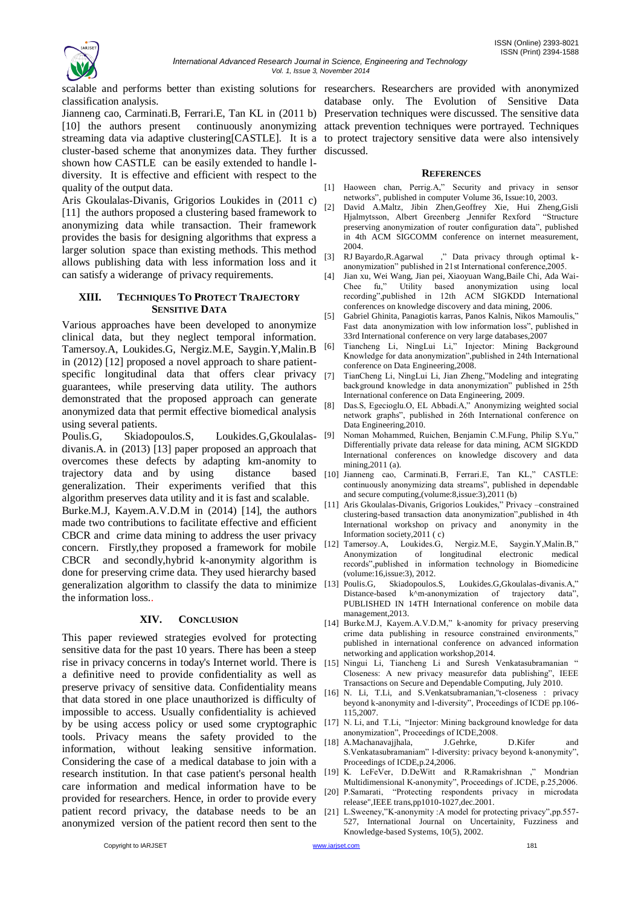

scalable and performs better than existing solutions for researchers. Researchers are provided with anonymized classification analysis.

Jianneng cao, Carminati.B, Ferrari.E, Tan KL in (2011 b) Preservation techniques were discussed. The sensitive data [10] the authors present continuously anonymizing attack prevention techniques were portrayed. Techniques streaming data via adaptive clustering[CASTLE]. It is a to protect trajectory sensitive data were also intensively cluster-based scheme that anonymizes data. They further discussed. shown how CASTLE can be easily extended to handle ldiversity. It is effective and efficient with respect to the quality of the output data.

Aris Gkoulalas-Divanis, Grigorios Loukides in (2011 c) [11] the authors proposed a clustering based framework to anonymizing data while transaction. Their framework provides the basis for designing algorithms that express a larger solution space than existing methods. This method allows publishing data with less information loss and it can satisfy a widerange of privacy requirements.

#### **XIII. TECHNIQUES TO PROTECT TRAJECTORY SENSITIVE DATA**

Various approaches have been developed to anonymize clinical data, but they neglect temporal information. Tamersoy.A, Loukides.G, Nergiz.M.E, Saygin.Y,Malin.B in (2012) [12] proposed a novel approach to share patientspecific longitudinal data that offers clear privacy [7] guarantees, while preserving data utility. The authors demonstrated that the proposed approach can generate anonymized data that permit effective biomedical analysis using several patients.

Poulis.G, Skiadopoulos.S, Loukides.G,Gkoulalasdivanis.A. in (2013) [13] paper proposed an approach that overcomes these defects by adapting km-anomity to trajectory data and by using distance generalization. Their experiments verified that this algorithm preserves data utility and it is fast and scalable. Burke.M.J, Kayem.A.V.D.M in (2014) [14], the authors made two contributions to facilitate effective and efficient CBCR and crime data mining to address the user privacy concern. Firstly,they proposed a framework for mobile CBCR and secondly,hybrid k-anonymity algorithm is done for preserving crime data. They used hierarchy based generalization algorithm to classify the data to minimize the information loss..

### **XIV. CONCLUSION**

This paper reviewed strategies evolved for protecting sensitive data for the past 10 years. There has been a steep rise in privacy concerns in today's Internet world. There is a definitive need to provide confidentiality as well as preserve privacy of sensitive data. Confidentiality means that data stored in one place unauthorized is difficulty of impossible to access. Usually confidentiality is achieved by be using access policy or used some cryptographic tools. Privacy means the safety provided to the information, without leaking sensitive information. Considering the case of a medical database to join with a research institution. In that case patient's personal health care information and medical information have to be provided for researchers. Hence, in order to provide every patient record privacy, the database needs to be an [21] L.Sweeney,"K-anonymity :A model for protecting privacy",pp.557anonymized version of the patient record then sent to the

database only. The Evolution of Sensitive Data

#### **REFERENCES**

- [1] Haoween chan, Perrig.A," Security and privacy in sensor networks", published in computer Volume 36, Issue:10, 2003.
- [2] David A.Maltz, Jibin Zhen,Geoffrey Xie, Hui Zheng,Gisli Hjalmytsson, Albert Greenberg ,Jennifer Rexford "Structure preserving anonymization of router configuration data", published in 4th ACM SIGCOMM conference on internet measurement, 2004.
- [3] RJ Bayardo,R.Agarwal ," Data privacy through optimal kanonymization" published in 21st International conference,2005.
- [4] Jian xu, Wei Wang, Jian pei, Xiaoyuan Wang,Baile Chi, Ada Wai-Chee fu," Utility based anonymization using local recording",published in 12th ACM SIGKDD International conferences on knowledge discovery and data mining, 2006.
- [5] Gabriel Ghinita, Panagiotis karras, Panos Kalnis, Nikos Mamoulis," Fast data anonymization with low information loss", published in 33rd International conference on very large databases,2007
- Tiancheng Li, NingLui Li," Injector: Mining Background Knowledge for data anonymization",published in 24th International conference on Data Engineering,2008.
- [7] TianCheng Li, NingLui Li, Jian Zheng,"Modeling and integrating background knowledge in data anonymization" published in 25th International conference on Data Engineering, 2009.
- [8] Das.S, Egecioglu.O, EL Abbadi.A," Anonymizing weighted social network graphs", published in 26th International conference on Data Engineering,2010.
- [9] Noman Mohammed, Ruichen, Benjamin C.M.Fung, Philip S.Yu," Differentially private data release for data mining, ACM SIGKDD International conferences on knowledge discovery and data mining,2011 (a).
- based [10] Jianneng cao, Carminati.B, Ferrari.E, Tan KL," CASTLE: continuously anonymizing data streams", published in dependable and secure computing,(volume:8,issue:3),2011 (b)
	- Aris Gkoulalas-Divanis, Grigorios Loukides," Privacy –constrained clustering-based transaction data anonymization",published in 4th International workshop on privacy and anonymity in the Information society,2011 ( c)
	- [12] Tamersoy.A, Loukides.G, Nergiz.M.E, Saygin.Y,Malin.B," Anonymization of longitudinal electronic medical records",published in information technology in Biomedicine (volume:16,issue:3), 2012.
	- Poulis.G, Skiadopoulos.S, Loukides.G,Gkoulalas-divanis.A," Distance-based k^m-anonymization of trajectory data" PUBLISHED IN 14TH International conference on mobile data management,2013.
	- [14] Burke.M.J, Kayem.A.V.D.M," k-anomity for privacy preserving crime data publishing in resource constrained environments, published in international conference on advanced information networking and application workshop,2014.
	- [15] Ningui Li, Tiancheng Li and Suresh Venkatasubramanian Closeness: A new privacy measurefor data publishing", IEEE Transactions on Secure and Dependable Computing, July 2010.
	- [16] N. Li, T.Li, and S.Venkatsubramanian,"t-closeness : privacy beyond k-anonymity and l-diversity", Proceedings of ICDE pp.106- 115,2007.
	- [17] N. Li, and T.Li, "Injector: Mining background knowledge for data anonymization", Proceedings of ICDE,2008.
	- [18] A.Machanavajjhala, J.Gehrke, D.Kifer and S.Venkatasubramaniam" l-diversity: privacy beyond k-anonymity", Proceedings of ICDE,p.24,2006.
	- [19] K. LeFeVer, D.DeWitt and R.Ramakrishnan ," Mondrian Multidimensional K-anonymity", Proceedings of .ICDE, p.25,2006.
	- [20] P.Samarati, "Protecting respondents privacy in microdata release",IEEE trans,pp1010-1027,dec.2001.
	- 527, International Journal on Uncertainity, Fuzziness and Knowledge-based Systems, 10(5), 2002.